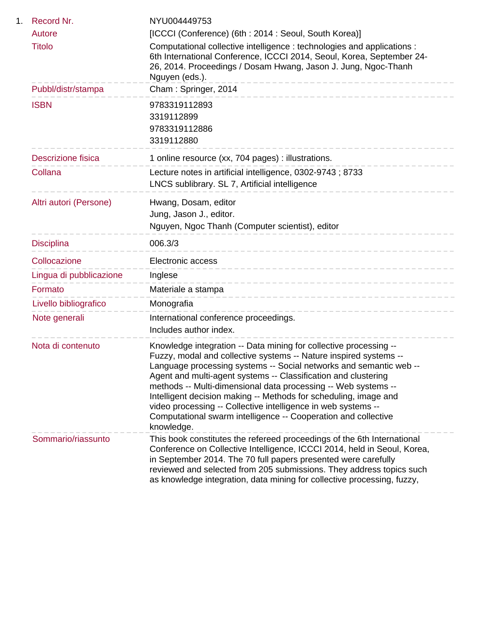| Record Nr.<br>1.          | NYU004449753                                                                                                                                                                                                                                                                                                                                                                                                                                                                                                                                                          |
|---------------------------|-----------------------------------------------------------------------------------------------------------------------------------------------------------------------------------------------------------------------------------------------------------------------------------------------------------------------------------------------------------------------------------------------------------------------------------------------------------------------------------------------------------------------------------------------------------------------|
| Autore                    | [ICCCI (Conference) (6th: 2014: Seoul, South Korea)]                                                                                                                                                                                                                                                                                                                                                                                                                                                                                                                  |
| <b>Titolo</b>             | Computational collective intelligence : technologies and applications :<br>6th International Conference, ICCCI 2014, Seoul, Korea, September 24-<br>26, 2014. Proceedings / Dosam Hwang, Jason J. Jung, Ngoc-Thanh<br>Nguyen (eds.).                                                                                                                                                                                                                                                                                                                                  |
| Pubbl/distr/stampa        | Cham: Springer, 2014                                                                                                                                                                                                                                                                                                                                                                                                                                                                                                                                                  |
| <b>ISBN</b>               | 9783319112893<br>3319112899<br>9783319112886<br>3319112880                                                                                                                                                                                                                                                                                                                                                                                                                                                                                                            |
| <b>Descrizione fisica</b> | 1 online resource (xx, 704 pages) : illustrations.                                                                                                                                                                                                                                                                                                                                                                                                                                                                                                                    |
| Collana                   | Lecture notes in artificial intelligence, 0302-9743; 8733<br>LNCS sublibrary. SL 7, Artificial intelligence                                                                                                                                                                                                                                                                                                                                                                                                                                                           |
| Altri autori (Persone)    | Hwang, Dosam, editor<br>Jung, Jason J., editor.<br>Nguyen, Ngoc Thanh (Computer scientist), editor                                                                                                                                                                                                                                                                                                                                                                                                                                                                    |
| <b>Disciplina</b>         | 006.3/3                                                                                                                                                                                                                                                                                                                                                                                                                                                                                                                                                               |
| Collocazione              | Electronic access                                                                                                                                                                                                                                                                                                                                                                                                                                                                                                                                                     |
| Lingua di pubblicazione   | -----------------------------<br>Inglese                                                                                                                                                                                                                                                                                                                                                                                                                                                                                                                              |
| Formato                   | Materiale a stampa                                                                                                                                                                                                                                                                                                                                                                                                                                                                                                                                                    |
| Livello bibliografico     | ------------------------------<br>Monografia                                                                                                                                                                                                                                                                                                                                                                                                                                                                                                                          |
| Note generali             | International conference proceedings.<br>Includes author index.                                                                                                                                                                                                                                                                                                                                                                                                                                                                                                       |
| Nota di contenuto         | Knowledge integration -- Data mining for collective processing --<br>Fuzzy, modal and collective systems -- Nature inspired systems --<br>Language processing systems -- Social networks and semantic web --<br>Agent and multi-agent systems -- Classification and clustering<br>methods -- Multi-dimensional data processing -- Web systems --<br>Intelligent decision making -- Methods for scheduling, image and<br>video processing -- Collective intelligence in web systems --<br>Computational swarm intelligence -- Cooperation and collective<br>knowledge. |
| Sommario/riassunto        | This book constitutes the refereed proceedings of the 6th International<br>Conference on Collective Intelligence, ICCCI 2014, held in Seoul, Korea,<br>in September 2014. The 70 full papers presented were carefully<br>reviewed and selected from 205 submissions. They address topics such<br>as knowledge integration, data mining for collective processing, fuzzy,                                                                                                                                                                                              |